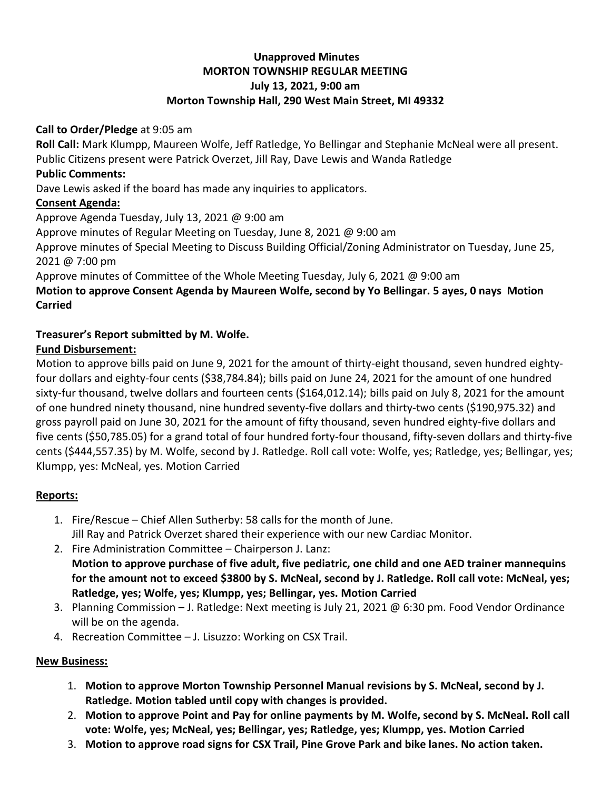# **Unapproved Minutes MORTON TOWNSHIP REGULAR MEETING July 13, 2021, 9:00 am Morton Township Hall, 290 West Main Street, MI 49332**

#### **Call to Order/Pledge** at 9:05 am

**Roll Call:** Mark Klumpp, Maureen Wolfe, Jeff Ratledge, Yo Bellingar and Stephanie McNeal were all present. Public Citizens present were Patrick Overzet, Jill Ray, Dave Lewis and Wanda Ratledge

#### **Public Comments:**

Dave Lewis asked if the board has made any inquiries to applicators.

### **Consent Agenda:**

Approve Agenda Tuesday, July 13, 2021 @ 9:00 am

Approve minutes of Regular Meeting on Tuesday, June 8, 2021 @ 9:00 am

Approve minutes of Special Meeting to Discuss Building Official/Zoning Administrator on Tuesday, June 25, 2021 @ 7:00 pm

Approve minutes of Committee of the Whole Meeting Tuesday, July 6, 2021 @ 9:00 am

## **Motion to approve Consent Agenda by Maureen Wolfe, second by Yo Bellingar. 5 ayes, 0 nays Motion Carried**

# **Treasurer's Report submitted by M. Wolfe.**

### **Fund Disbursement:**

Motion to approve bills paid on June 9, 2021 for the amount of thirty-eight thousand, seven hundred eightyfour dollars and eighty-four cents (\$38,784.84); bills paid on June 24, 2021 for the amount of one hundred sixty-fur thousand, twelve dollars and fourteen cents (\$164,012.14); bills paid on July 8, 2021 for the amount of one hundred ninety thousand, nine hundred seventy-five dollars and thirty-two cents (\$190,975.32) and gross payroll paid on June 30, 2021 for the amount of fifty thousand, seven hundred eighty-five dollars and five cents (\$50,785.05) for a grand total of four hundred forty-four thousand, fifty-seven dollars and thirty-five cents (\$444,557.35) by M. Wolfe, second by J. Ratledge. Roll call vote: Wolfe, yes; Ratledge, yes; Bellingar, yes; Klumpp, yes: McNeal, yes. Motion Carried

### **Reports:**

- 1. Fire/Rescue Chief Allen Sutherby: 58 calls for the month of June. Jill Ray and Patrick Overzet shared their experience with our new Cardiac Monitor.
- 2. Fire Administration Committee Chairperson J. Lanz: **Motion to approve purchase of five adult, five pediatric, one child and one AED trainer mannequins for the amount not to exceed \$3800 by S. McNeal, second by J. Ratledge. Roll call vote: McNeal, yes; Ratledge, yes; Wolfe, yes; Klumpp, yes; Bellingar, yes. Motion Carried**
- 3. Planning Commission J. Ratledge: Next meeting is July 21, 2021 @ 6:30 pm. Food Vendor Ordinance will be on the agenda.
- 4. Recreation Committee J. Lisuzzo: Working on CSX Trail.

### **New Business:**

- 1. **Motion to approve Morton Township Personnel Manual revisions by S. McNeal, second by J. Ratledge. Motion tabled until copy with changes is provided.**
- 2. **Motion to approve Point and Pay for online payments by M. Wolfe, second by S. McNeal. Roll call vote: Wolfe, yes; McNeal, yes; Bellingar, yes; Ratledge, yes; Klumpp, yes. Motion Carried**
- 3. **Motion to approve road signs for CSX Trail, Pine Grove Park and bike lanes. No action taken.**